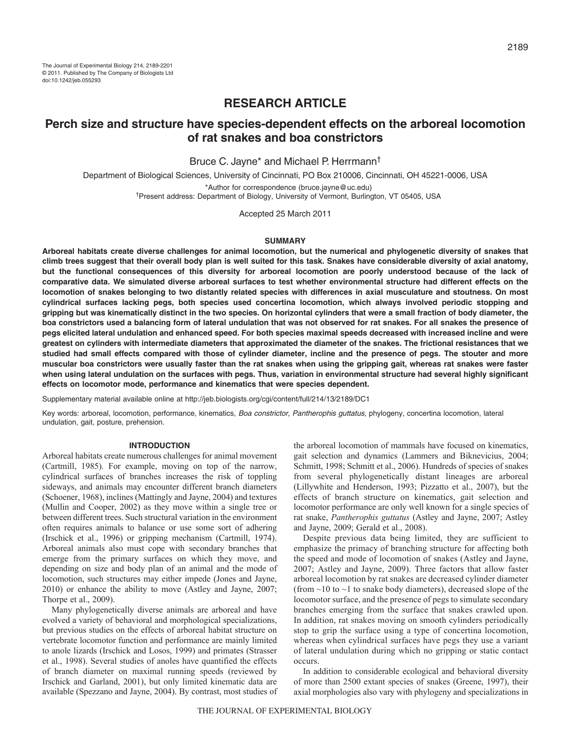# **RESEARCH ARTICLE**

# **Perch size and structure have species-dependent effects on the arboreal locomotion of rat snakes and boa constrictors**

Bruce C. Jayne\* and Michael P. Herrmann†

Department of Biological Sciences, University of Cincinnati, PO Box 210006, Cincinnati, OH 45221-0006, USA

\*Author for correspondence (bruce.jayne@uc.edu)

†Present address: Department of Biology, University of Vermont, Burlington, VT 05405, USA

Accepted 25 March 2011

#### **SUMMARY**

**Arboreal habitats create diverse challenges for animal locomotion, but the numerical and phylogenetic diversity of snakes that climb trees suggest that their overall body plan is well suited for this task. Snakes have considerable diversity of axial anatomy, but the functional consequences of this diversity for arboreal locomotion are poorly understood because of the lack of comparative data. We simulated diverse arboreal surfaces to test whether environmental structure had different effects on the locomotion of snakes belonging to two distantly related species with differences in axial musculature and stoutness. On most cylindrical surfaces lacking pegs, both species used concertina locomotion, which always involved periodic stopping and gripping but was kinematically distinct in the two species. On horizontal cylinders that were a small fraction of body diameter, the boa constrictors used a balancing form of lateral undulation that was not observed for rat snakes. For all snakes the presence of pegs elicited lateral undulation and enhanced speed. For both species maximal speeds decreased with increased incline and were greatest on cylinders with intermediate diameters that approximated the diameter of the snakes. The frictional resistances that we studied had small effects compared with those of cylinder diameter, incline and the presence of pegs. The stouter and more muscular boa constrictors were usually faster than the rat snakes when using the gripping gait, whereas rat snakes were faster when using lateral undulation on the surfaces with pegs. Thus, variation in environmental structure had several highly significant effects on locomotor mode, performance and kinematics that were species dependent.**

Supplementary material available online at http://jeb.biologists.org/cgi/content/full/214/13/2189/DC1

Key words: arboreal, locomotion, performance, kinematics, Boa constrictor, Pantherophis guttatus, phylogeny, concertina locomotion, lateral undulation, gait, posture, prehension.

# **INTRODUCTION**

Arboreal habitats create numerous challenges for animal movement (Cartmill, 1985). For example, moving on top of the narrow, cylindrical surfaces of branches increases the risk of toppling sideways, and animals may encounter different branch diameters (Schoener, 1968), inclines (Mattingly and Jayne, 2004) and textures (Mullin and Cooper, 2002) as they move within a single tree or between different trees. Such structural variation in the environment often requires animals to balance or use some sort of adhering (Irschick et al., 1996) or gripping mechanism (Cartmill, 1974). Arboreal animals also must cope with secondary branches that emerge from the primary surfaces on which they move, and depending on size and body plan of an animal and the mode of locomotion, such structures may either impede (Jones and Jayne, 2010) or enhance the ability to move (Astley and Jayne, 2007; Thorpe et al., 2009).

Many phylogenetically diverse animals are arboreal and have evolved a variety of behavioral and morphological specializations, but previous studies on the effects of arboreal habitat structure on vertebrate locomotor function and performance are mainly limited to anole lizards (Irschick and Losos, 1999) and primates (Strasser et al., 1998). Several studies of anoles have quantified the effects of branch diameter on maximal running speeds (reviewed by Irschick and Garland, 2001), but only limited kinematic data are available (Spezzano and Jayne, 2004). By contrast, most studies of the arboreal locomotion of mammals have focused on kinematics, gait selection and dynamics (Lammers and Biknevicius, 2004; Schmitt, 1998; Schmitt et al., 2006). Hundreds of species of snakes from several phylogenetically distant lineages are arboreal (Lillywhite and Henderson, 1993; Pizzatto et al., 2007), but the effects of branch structure on kinematics, gait selection and locomotor performance are only well known for a single species of rat snake, *Pantherophis guttatus* (Astley and Jayne, 2007; Astley and Jayne, 2009; Gerald et al., 2008).

Despite previous data being limited, they are sufficient to emphasize the primacy of branching structure for affecting both the speed and mode of locomotion of snakes (Astley and Jayne, 2007; Astley and Jayne, 2009). Three factors that allow faster arboreal locomotion by rat snakes are decreased cylinder diameter (from  $\sim$ 10 to  $\sim$ 1 to snake body diameters), decreased slope of the locomotor surface, and the presence of pegs to simulate secondary branches emerging from the surface that snakes crawled upon. In addition, rat snakes moving on smooth cylinders periodically stop to grip the surface using a type of concertina locomotion, whereas when cylindrical surfaces have pegs they use a variant of lateral undulation during which no gripping or static contact occurs.

In addition to considerable ecological and behavioral diversity of more than 2500 extant species of snakes (Greene, 1997), their axial morphologies also vary with phylogeny and specializations in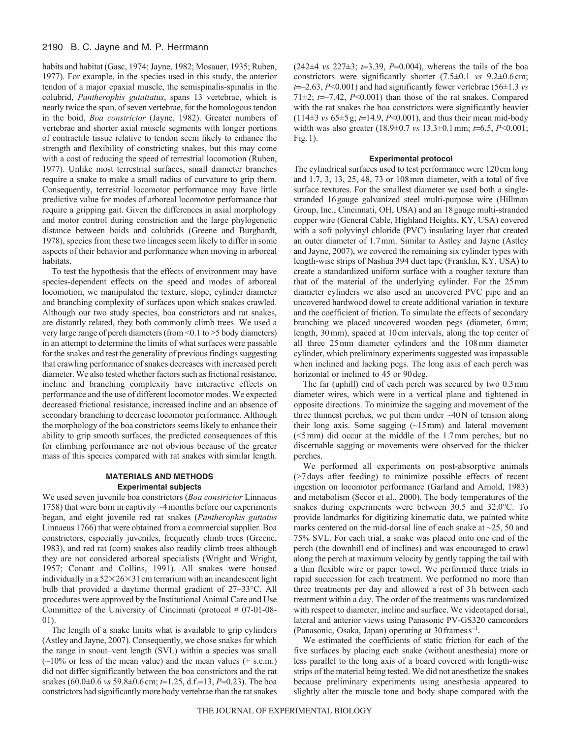habits and habitat (Gasc, 1974; Jayne, 1982; Mosauer, 1935; Ruben, 1977). For example, in the species used in this study, the anterior tendon of a major epaxial muscle, the semispinalis-spinalis in the colubrid, *Pantherophis gutattatus*, spans 13 vertebrae, which is nearly twice the span, of seven vertebrae, for the homologous tendon in the boid, *Boa constrictor* (Jayne, 1982). Greater numbers of vertebrae and shorter axial muscle segments with longer portions of contractile tissue relative to tendon seem likely to enhance the strength and flexibility of constricting snakes, but this may come with a cost of reducing the speed of terrestrial locomotion (Ruben, 1977). Unlike most terrestrial surfaces, small diameter branches require a snake to make a small radius of curvature to grip them. Consequently, terrestrial locomotor performance may have little predictive value for modes of arboreal locomotor performance that require a gripping gait. Given the differences in axial morphology and motor control during constriction and the large phylogenetic distance between boids and colubrids (Greene and Burghardt, 1978), species from these two lineages seem likely to differ in some aspects of their behavior and performance when moving in arboreal habitats.

To test the hypothesis that the effects of environment may have species-dependent effects on the speed and modes of arboreal locomotion, we manipulated the texture, slope, cylinder diameter and branching complexity of surfaces upon which snakes crawled. Although our two study species, boa constrictors and rat snakes, are distantly related, they both commonly climb trees. We used a very large range of perch diameters (from <0.1 to >5 body diameters) in an attempt to determine the limits of what surfaces were passable for the snakes and test the generality of previous findings suggesting that crawling performance of snakes decreases with increased perch diameter. We also tested whether factors such as frictional resistance, incline and branching complexity have interactive effects on performance and the use of different locomotor modes. We expected decreased frictional resistance, increased incline and an absence of secondary branching to decrease locomotor performance. Although the morphology of the boa constrictors seems likely to enhance their ability to grip smooth surfaces, the predicted consequences of this for climbing performance are not obvious because of the greater mass of this species compared with rat snakes with similar length.

#### **MATERIALS AND METHODS Experimental subjects**

We used seven juvenile boa constrictors (*Boa constrictor* Linnaeus 1758) that were born in captivity ~4months before our experiments began, and eight juvenile red rat snakes (*Pantherophis guttatus* Linnaeus 1766) that were obtained from a commercial supplier. Boa constrictors, especially juveniles, frequently climb trees (Greene, 1983), and red rat (corn) snakes also readily climb trees although they are not considered arboreal specialists (Wright and Wright, 1957; Conant and Collins, 1991). All snakes were housed individually in a  $52\times26\times31$  cm terrarium with an incandescent light bulb that provided a daytime thermal gradient of 27–33°C. All procedures were approved by the Institutional Animal Care and Use Committee of the University of Cincinnati (protocol # 07-01-08- 01).

The length of a snake limits what is available to grip cylinders (Astley and Jayne, 2007). Consequently, we chose snakes for which the range in snout–vent length (SVL) within a species was small  $(\sim 10\%$  or less of the mean value) and the mean values ( $\pm$  s.e.m.) did not differ significantly between the boa constrictors and the rat snakes  $(60.0\pm0.6 \text{ vs } 59.8\pm0.6 \text{ cm}; t=1.25, d.f.=13, P=0.23)$ . The boa constrictors had significantly more body vertebrae than the rat snakes  $(242±4 \text{ vs } 227±3; t=3.39, P=0.004)$ , whereas the tails of the boa constrictors were significantly shorter (7.5±0.1 *vs* 9.2±0.6 cm; *t*–2.63, *P*<0.001) and had significantly fewer vertebrae (56±1.3 *vs* 71 $\pm$ 2; *t*=-7.42, *P*<0.001) than those of the rat snakes. Compared with the rat snakes the boa constrictors were significantly heavier  $(114\pm3 \text{ vs } 65\pm5 \text{ g}; t=14.9, P<0.001)$ , and thus their mean mid-body width was also greater (18.9±0.7 *vs* 13.3±0.1mm; *t*=6.5, *P*<0.001; Fig.1).

#### **Experimental protocol**

The cylindrical surfaces used to test performance were 120cm long and 1.7, 3, 13, 25, 48, 73 or 108mm diameter, with a total of five surface textures. For the smallest diameter we used both a singlestranded 16gauge galvanized steel multi-purpose wire (Hillman Group, Inc., Cincinnati, OH, USA) and an 18gauge multi-stranded copper wire (General Cable, Highland Heights, KY, USA) covered with a soft polyvinyl chloride (PVC) insulating layer that created an outer diameter of 1.7mm. Similar to Astley and Jayne (Astley and Jayne, 2007), we covered the remaining six cylinder types with length-wise strips of Nashua 394 duct tape (Franklin, KY, USA) to create a standardized uniform surface with a rougher texture than that of the material of the underlying cylinder. For the 25mm diameter cylinders we also used an uncovered PVC pipe and an uncovered hardwood dowel to create additional variation in texture and the coefficient of friction. To simulate the effects of secondary branching we placed uncovered wooden pegs (diameter, 6mm; length, 30mm), spaced at 10cm intervals, along the top center of all three 25mm diameter cylinders and the 108mm diameter cylinder, which preliminary experiments suggested was impassable when inclined and lacking pegs. The long axis of each perch was horizontal or inclined to 45 or 90deg.

The far (uphill) end of each perch was secured by two 0.3mm diameter wires, which were in a vertical plane and tightened in opposite directions. To minimize the sagging and movement of the three thinnest perches, we put them under  $~40N$  of tension along their long axis. Some sagging  $(-15 \text{ mm})$  and lateral movement (<5mm) did occur at the middle of the 1.7mm perches, but no discernable sagging or movements were observed for the thicker perches.

We performed all experiments on post-absorptive animals (>7days after feeding) to minimize possible effects of recent ingestion on locomotor performance (Garland and Arnold, 1983) and metabolism (Secor et al., 2000). The body temperatures of the snakes during experiments were between 30.5 and 32.0°C. To provide landmarks for digitizing kinematic data, we painted white marks centered on the mid-dorsal line of each snake at ~25, 50 and 75% SVL. For each trial, a snake was placed onto one end of the perch (the downhill end of inclines) and was encouraged to crawl along the perch at maximum velocity by gently tapping the tail with a thin flexible wire or paper towel. We performed three trials in rapid succession for each treatment. We performed no more than three treatments per day and allowed a rest of 3h between each treatment within a day. The order of the treatments was randomized with respect to diameter, incline and surface. We videotaped dorsal, lateral and anterior views using Panasonic PV-GS320 camcorders (Panasonic, Osaka, Japan) operating at  $30$  frames  $s^{-1}$ .

We estimated the coefficients of static friction for each of the five surfaces by placing each snake (without anesthesia) more or less parallel to the long axis of a board covered with length-wise strips of the material being tested. We did not anesthetize the snakes because preliminary experiments using anesthesia appeared to slightly alter the muscle tone and body shape compared with the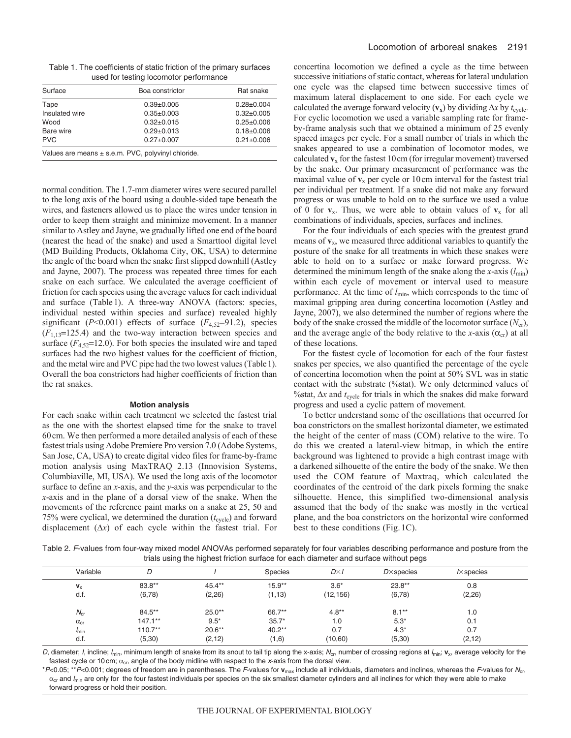Table 1. The coefficients of static friction of the primary surfaces used for testing locomotor performance

| Surface        | Boa constrictor                                        | Rat snake        |  |
|----------------|--------------------------------------------------------|------------------|--|
| Tape           | $0.39 \pm 0.005$                                       | $0.28 \pm 0.004$ |  |
| Insulated wire | $0.35 \pm 0.003$                                       | $0.32 \pm 0.005$ |  |
| Wood           | $0.32 \pm 0.015$                                       | $0.25 \pm 0.006$ |  |
| Bare wire      | $0.29 + 0.013$                                         | $0.18 \pm 0.006$ |  |
| <b>PVC</b>     | $0.27 \pm 0.007$                                       | $0.21 \pm 0.006$ |  |
|                | Values are means $\pm$ s.e.m. PVC, polyvinyl chloride. |                  |  |

normal condition. The 1.7-mm diameter wires were secured parallel to the long axis of the board using a double-sided tape beneath the wires, and fasteners allowed us to place the wires under tension in order to keep them straight and minimize movement. In a manner similar to Astley and Jayne, we gradually lifted one end of the board (nearest the head of the snake) and used a Smarttool digital level (MD Building Products, Oklahoma City, OK, USA) to determine the angle of the board when the snake first slipped downhill (Astley and Jayne, 2007). The process was repeated three times for each snake on each surface. We calculated the average coefficient of friction for each species using the average values for each individual and surface (Table1). A three-way ANOVA (factors: species, individual nested within species and surface) revealed highly significant ( $P<0.001$ ) effects of surface ( $F<sub>4,52</sub>=91.2$ ), species  $(F_{1,13}=125.4)$  and the two-way interaction between species and surface  $(F_{4,52}=12.0)$ . For both species the insulated wire and taped surfaces had the two highest values for the coefficient of friction, and the metal wire and PVC pipe had the two lowest values (Table1). Overall the boa constrictors had higher coefficients of friction than the rat snakes.

#### **Motion analysis**

For each snake within each treatment we selected the fastest trial as the one with the shortest elapsed time for the snake to travel 60cm. We then performed a more detailed analysis of each of these fastest trials using Adobe Premiere Pro version 7.0 (Adobe Systems, San Jose, CA, USA) to create digital video files for frame-by-frame motion analysis using MaxTRAQ 2.13 (Innovision Systems, Columbiaville, MI, USA). We used the long axis of the locomotor surface to define an *x*-axis, and the *y*-axis was perpendicular to the *x*-axis and in the plane of a dorsal view of the snake. When the movements of the reference paint marks on a snake at 25, 50 and 75% were cyclical, we determined the duration  $(t_{\text{cycle}})$  and forward displacement  $(\Delta x)$  of each cycle within the fastest trial. For concertina locomotion we defined a cycle as the time between successive initiations of static contact, whereas for lateral undulation one cycle was the elapsed time between successive times of maximum lateral displacement to one side. For each cycle we calculated the average forward velocity  $(v_x)$  by dividing  $\Delta x$  by  $t_{\text{cycle}}$ . For cyclic locomotion we used a variable sampling rate for frameby-frame analysis such that we obtained a minimum of 25 evenly spaced images per cycle. For a small number of trials in which the snakes appeared to use a combination of locomotor modes, we calculated  $v_x$  for the fastest 10 cm (for irregular movement) traversed by the snake. Our primary measurement of performance was the maximal value of  $v_x$  per cycle or 10cm interval for the fastest trial per individual per treatment. If a snake did not make any forward progress or was unable to hold on to the surface we used a value of 0 for  $v_x$ . Thus, we were able to obtain values of  $v_x$  for all combinations of individuals, species, surfaces and inclines.

For the four individuals of each species with the greatest grand means of  $\mathbf{v}_x$ , we measured three additional variables to quantify the posture of the snake for all treatments in which these snakes were able to hold on to a surface or make forward progress. We determined the minimum length of the snake along the *x*-axis  $(l_{min})$ within each cycle of movement or interval used to measure performance. At the time of *l*<sub>min</sub>, which corresponds to the time of maximal gripping area during concertina locomotion (Astley and Jayne, 2007), we also determined the number of regions where the body of the snake crossed the middle of the locomotor surface (*N*cr), and the average angle of the body relative to the *x*-axis ( $\alpha_{cr}$ ) at all of these locations.

For the fastest cycle of locomotion for each of the four fastest snakes per species, we also quantified the percentage of the cycle of concertina locomotion when the point at 50% SVL was in static contact with the substrate (%stat). We only determined values of %stat,  $\Delta x$  and  $t_{\text{cycle}}$  for trials in which the snakes did make forward progress and used a cyclic pattern of movement.

To better understand some of the oscillations that occurred for boa constrictors on the smallest horizontal diameter, we estimated the height of the center of mass (COM) relative to the wire. To do this we created a lateral-view bitmap, in which the entire background was lightened to provide a high contrast image with a darkened silhouette of the entire the body of the snake. We then used the COM feature of Maxtraq, which calculated the coordinates of the centroid of the dark pixels forming the snake silhouette. Hence, this simplified two-dimensional analysis assumed that the body of the snake was mostly in the vertical plane, and the boa constrictors on the horizontal wire conformed best to these conditions (Fig. 1C).

Table 2. F-values from four-way mixed model ANOVAs performed separately for four variables describing performance and posture from the trials using the highest friction surface for each diameter and surface without pegs

| $\tilde{\phantom{a}}$<br>$\tilde{\phantom{a}}$ |                  |           |           | $\tilde{\phantom{a}}$ |              |                   |                   |  |
|------------------------------------------------|------------------|-----------|-----------|-----------------------|--------------|-------------------|-------------------|--|
|                                                | Variable         | D         |           | Species               | $D \times I$ | $D\times$ species | $I\times$ species |  |
|                                                | $V_{X}$          | 83.8**    | $45.4***$ | $15.9**$              | $3.6*$       | $23.8**$          | 0.8               |  |
|                                                | d.f.             | (6, 78)   | (2,26)    | (1, 13)               | (12, 156)    | (6, 78)           | (2, 26)           |  |
|                                                | $N_{cr}$         | $84.5***$ | $25.0**$  | 66.7**                | $4.8**$      | $8.1***$          | 1.0               |  |
|                                                | $\alpha_{cr}$    | $147.1**$ | $9.5*$    | $35.7*$               | 1.0          | $5.3*$            | 0.1               |  |
|                                                | $I_{\text{min}}$ | $110.7**$ | $20.6***$ | $40.2**$              | 0.7          | $4.3*$            | 0.7               |  |
|                                                | d.f.             | (5, 30)   | (2, 12)   | (1,6)                 | (10,60)      | (5, 30)           | (2, 12)           |  |

D, diameter; I, incline;  $I_{\min}$ , minimum length of snake from its snout to tail tip along the x-axis;  $N_{\text{cr}}$ , number of crossing regions at  $I_{\min}$ ;  $\mathbf{v}_x$ , average velocity for the fastest cycle or 10 cm;  $\alpha_{cr}$ , angle of the body midline with respect to the x-axis from the dorsal view.

\*P<0.05; \*\*P<0.001; degrees of freedom are in parentheses. The F-values for **v**max include all individuals, diameters and inclines, whereas the F-values for Ncr,  $\alpha_{\rm cr}$  and  $l_{\rm min}$  are only for the four fastest individuals per species on the six smallest diameter cylinders and all inclines for which they were able to make forward progress or hold their position.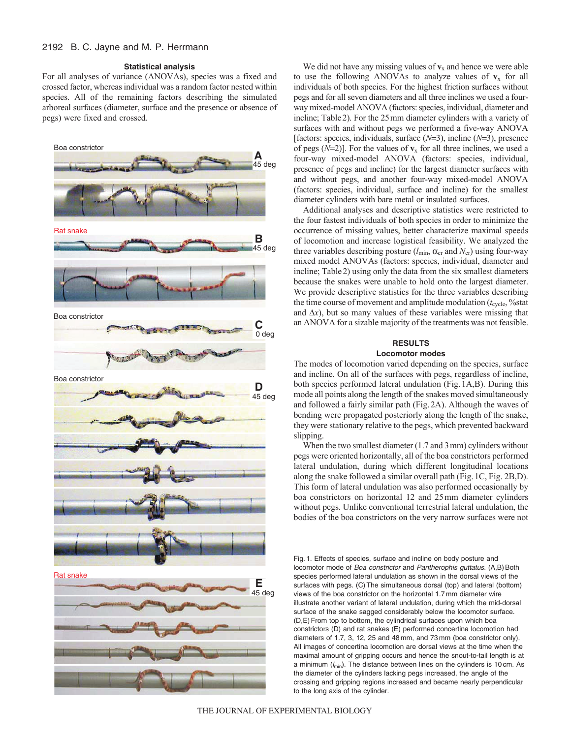### 2192 B. C. Jayne and M. P. Herrmann

#### **Statistical analysis**

For all analyses of variance (ANOVAs), species was a fixed and crossed factor, whereas individual was a random factor nested within species. All of the remaining factors describing the simulated arboreal surfaces (diameter, surface and the presence or absence of pegs) were fixed and crossed.



We did not have any missing values of  $v_x$  and hence we were able to use the following ANOVAs to analyze values of  $v_x$  for all individuals of both species. For the highest friction surfaces without pegs and for all seven diameters and all three inclines we used a fourway mixed-model ANOVA (factors: species, individual, diameter and incline; Table2). For the 25mm diameter cylinders with a variety of surfaces with and without pegs we performed a five-way ANOVA [factors: species, individuals, surface  $(N=3)$ , incline  $(N=3)$ , presence of pegs  $(N=2)$ ]. For the values of  $v_x$  for all three inclines, we used a four-way mixed-model ANOVA (factors: species, individual, presence of pegs and incline) for the largest diameter surfaces with and without pegs, and another four-way mixed-model ANOVA (factors: species, individual, surface and incline) for the smallest diameter cylinders with bare metal or insulated surfaces.

Additional analyses and descriptive statistics were restricted to the four fastest individuals of both species in order to minimize the occurrence of missing values, better characterize maximal speeds of locomotion and increase logistical feasibility. We analyzed the three variables describing posture ( $l_{\text{min}}$ ,  $\alpha_{\text{cr}}$  and  $N_{\text{cr}}$ ) using four-way mixed model ANOVAs (factors: species, individual, diameter and incline; Table2) using only the data from the six smallest diameters because the snakes were unable to hold onto the largest diameter. We provide descriptive statistics for the three variables describing the time course of movement and amplitude modulation  $(t_{\text{cycle}}, %$ stat and  $\Delta x$ ), but so many values of these variables were missing that an ANOVA for a sizable majority of the treatments was not feasible.

# **RESULTS**

# **Locomotor modes**

The modes of locomotion varied depending on the species, surface and incline. On all of the surfaces with pegs, regardless of incline, both species performed lateral undulation (Fig.1A,B). During this mode all points along the length of the snakes moved simultaneously and followed a fairly similar path (Fig.2A). Although the waves of bending were propagated posteriorly along the length of the snake, they were stationary relative to the pegs, which prevented backward slipping.

When the two smallest diameter (1.7 and 3 mm) cylinders without pegs were oriented horizontally, all of the boa constrictors performed lateral undulation, during which different longitudinal locations along the snake followed a similar overall path (Fig.1C, Fig. 2B,D). This form of lateral undulation was also performed occasionally by boa constrictors on horizontal 12 and 25mm diameter cylinders without pegs. Unlike conventional terrestrial lateral undulation, the bodies of the boa constrictors on the very narrow surfaces were not

Fig. 1. Effects of species, surface and incline on body posture and locomotor mode of Boa constrictor and Pantherophis guttatus. (A,B) Both species performed lateral undulation as shown in the dorsal views of the surfaces with pegs. (C) The simultaneous dorsal (top) and lateral (bottom) views of the boa constrictor on the horizontal 1.7 mm diameter wire illustrate another variant of lateral undulation, during which the mid-dorsal surface of the snake sagged considerably below the locomotor surface. (D,E) From top to bottom, the cylindrical surfaces upon which boa constrictors (D) and rat snakes (E) performed concertina locomotion had diameters of 1.7, 3, 12, 25 and 48 mm, and 73 mm (boa constrictor only). All images of concertina locomotion are dorsal views at the time when the maximal amount of gripping occurs and hence the snout-to-tail length is at a minimum  $(l_{\text{min}})$ . The distance between lines on the cylinders is 10 cm. As the diameter of the cylinders lacking pegs increased, the angle of the crossing and gripping regions increased and became nearly perpendicular to the long axis of the cylinder.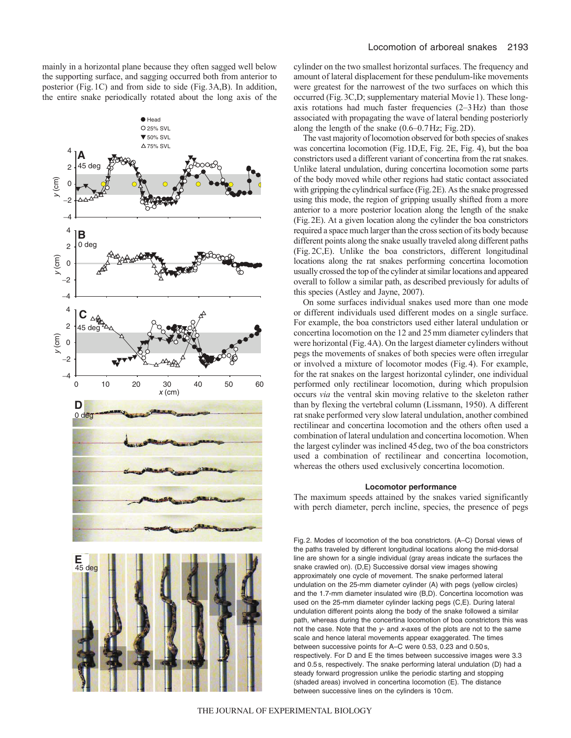mainly in a horizontal plane because they often sagged well below the supporting surface, and sagging occurred both from anterior to posterior (Fig.1C) and from side to side (Fig.3A,B). In addition, the entire snake periodically rotated about the long axis of the



cylinder on the two smallest horizontal surfaces. The frequency and amount of lateral displacement for these pendulum-like movements were greatest for the narrowest of the two surfaces on which this occurred (Fig.3C,D; supplementary material Movie1). These longaxis rotations had much faster frequencies  $(2-3)$  than those associated with propagating the wave of lateral bending posteriorly along the length of the snake (0.6–0.7Hz; Fig.2D).

The vast majority of locomotion observed for both species of snakes was concertina locomotion (Fig.1D,E, Fig. 2E, Fig. 4), but the boa constrictors used a different variant of concertina from the rat snakes. Unlike lateral undulation, during concertina locomotion some parts of the body moved while other regions had static contact associated with gripping the cylindrical surface (Fig.2E). As the snake progressed using this mode, the region of gripping usually shifted from a more anterior to a more posterior location along the length of the snake (Fig.2E). At a given location along the cylinder the boa constrictors required a space much larger than the cross section of its body because different points along the snake usually traveled along different paths (Fig. 2C,E). Unlike the boa constrictors, different longitudinal locations along the rat snakes performing concertina locomotion usually crossed the top of the cylinder at similar locations and appeared overall to follow a similar path, as described previously for adults of this species (Astley and Jayne, 2007).

On some surfaces individual snakes used more than one mode or different individuals used different modes on a single surface. For example, the boa constrictors used either lateral undulation or concertina locomotion on the 12 and 25mm diameter cylinders that were horizontal (Fig.4A). On the largest diameter cylinders without pegs the movements of snakes of both species were often irregular or involved a mixture of locomotor modes (Fig.4). For example, for the rat snakes on the largest horizontal cylinder, one individual performed only rectilinear locomotion, during which propulsion occurs *via* the ventral skin moving relative to the skeleton rather than by flexing the vertebral column (Lissmann, 1950). A different rat snake performed very slow lateral undulation, another combined rectilinear and concertina locomotion and the others often used a combination of lateral undulation and concertina locomotion. When the largest cylinder was inclined 45deg, two of the boa constrictors used a combination of rectilinear and concertina locomotion, whereas the others used exclusively concertina locomotion.

#### **Locomotor performance**

The maximum speeds attained by the snakes varied significantly with perch diameter, perch incline, species, the presence of pegs

Fig. 2. Modes of locomotion of the boa constrictors. (A–C) Dorsal views of the paths traveled by different longitudinal locations along the mid-dorsal line are shown for a single individual (gray areas indicate the surfaces the snake crawled on). (D,E) Successive dorsal view images showing approximately one cycle of movement. The snake performed lateral undulation on the 25-mm diameter cylinder (A) with pegs (yellow circles) and the 1.7-mm diameter insulated wire (B,D). Concertina locomotion was used on the 25-mm diameter cylinder lacking pegs (C,E). During lateral undulation different points along the body of the snake followed a similar path, whereas during the concertina locomotion of boa constrictors this was not the case. Note that the  $y$ - and  $x$ -axes of the plots are not to the same scale and hence lateral movements appear exaggerated. The times between successive points for A–C were 0.53, 0.23 and 0.50 s, respectively. For D and E the times between successive images were 3.3 and 0.5 s, respectively. The snake performing lateral undulation (D) had a steady forward progression unlike the periodic starting and stopping (shaded areas) involved in concertina locomotion (E). The distance between successive lines on the cylinders is 10 cm.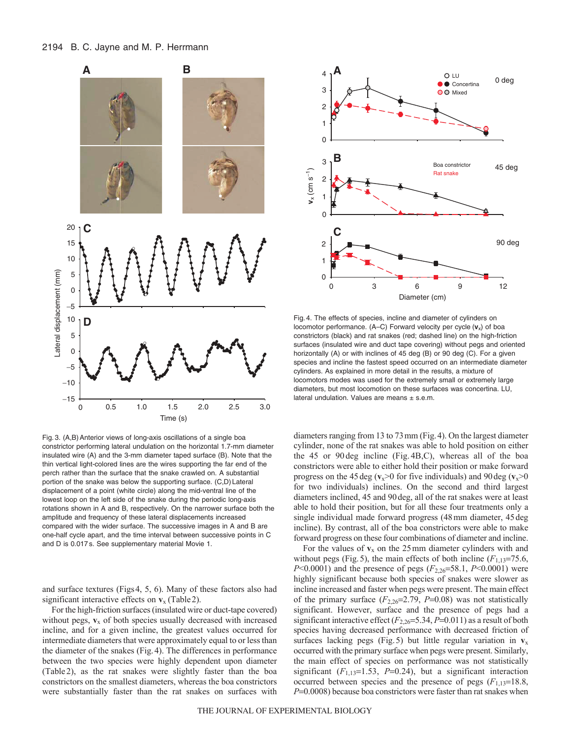

Fig. 3. (A,B) Anterior views of long-axis oscillations of a single boa constrictor performing lateral undulation on the horizontal 1.7-mm diameter insulated wire (A) and the 3-mm diameter taped surface (B). Note that the thin vertical light-colored lines are the wires supporting the far end of the perch rather than the surface that the snake crawled on. A substantial portion of the snake was below the supporting surface. (C,D) Lateral displacement of a point (white circle) along the mid-ventral line of the lowest loop on the left side of the snake during the periodic long-axis rotations shown in A and B, respectively. On the narrower surface both the amplitude and frequency of these lateral displacements increased compared with the wider surface. The successive images in A and B are one-half cycle apart, and the time interval between successive points in C and D is 0.017 s. See supplementary material Movie 1.

and surface textures (Figs4, 5, 6). Many of these factors also had significant interactive effects on  $v<sub>x</sub>$  (Table 2).

For the high-friction surfaces (insulated wire or duct-tape covered) without pegs,  $\mathbf{v}_x$  of both species usually decreased with increased incline, and for a given incline, the greatest values occurred for intermediate diameters that were approximately equal to or less than the diameter of the snakes (Fig.4). The differences in performance between the two species were highly dependent upon diameter (Table2), as the rat snakes were slightly faster than the boa constrictors on the smallest diameters, whereas the boa constrictors were substantially faster than the rat snakes on surfaces with



Fig. 4. The effects of species, incline and diameter of cylinders on locomotor performance. (A–C) Forward velocity per cycle ( $v_x$ ) of boa constrictors (black) and rat snakes (red; dashed line) on the high-friction surfaces (insulated wire and duct tape covering) without pegs and oriented horizontally (A) or with inclines of 45 deg (B) or 90 deg (C). For a given species and incline the fastest speed occurred on an intermediate diameter cylinders. As explained in more detail in the results, a mixture of locomotors modes was used for the extremely small or extremely large diameters, but most locomotion on these surfaces was concertina. LU, lateral undulation. Values are means  $\pm$  s.e.m.

diameters ranging from 13 to 73mm (Fig.4). On the largest diameter cylinder, none of the rat snakes was able to hold position on either the 45 or 90 deg incline (Fig. 4B,C), whereas all of the boa constrictors were able to either hold their position or make forward progress on the 45 deg ( $v_x$ >0 for five individuals) and 90 deg ( $v_x$ >0 for two individuals) inclines. On the second and third largest diameters inclined, 45 and 90deg, all of the rat snakes were at least able to hold their position, but for all these four treatments only a single individual made forward progress (48mm diameter, 45deg incline). By contrast, all of the boa constrictors were able to make forward progress on these four combinations of diameter and incline.

For the values of  $v_x$  on the 25 mm diameter cylinders with and without pegs (Fig. 5), the main effects of both incline  $(F_{1,13}=75.6)$ , *P*<0.0001) and the presence of pegs  $(F_{2,26} = 58.1, P \le 0.0001)$  were highly significant because both species of snakes were slower as incline increased and faster when pegs were present. The main effect of the primary surface  $(F_{2,26}=2.79, P=0.08)$  was not statistically significant. However, surface and the presence of pegs had a significant interactive effect  $(F_{2,26}=5.34, P=0.011)$  as a result of both species having decreased performance with decreased friction of surfaces lacking pegs (Fig.5) but little regular variation in  $v_x$ occurred with the primary surface when pegs were present. Similarly, the main effect of species on performance was not statistically significant  $(F_{1,13}=1.53, P=0.24)$ , but a significant interaction occurred between species and the presence of pegs  $(F_{1,13}=18.8)$ , *P*=0.0008) because boa constrictors were faster than rat snakes when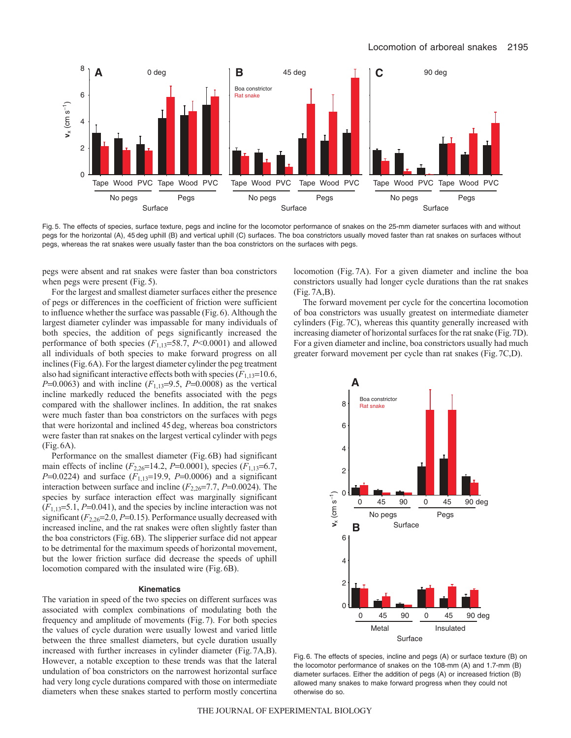

Fig. 5. The effects of species, surface texture, pegs and incline for the locomotor performance of snakes on the 25-mm diameter surfaces with and without pegs for the horizontal (A), 45 deg uphill (B) and vertical uphill (C) surfaces. The boa constrictors usually moved faster than rat snakes on surfaces without pegs, whereas the rat snakes were usually faster than the boa constrictors on the surfaces with pegs.

pegs were absent and rat snakes were faster than boa constrictors when pegs were present (Fig. 5).

For the largest and smallest diameter surfaces either the presence of pegs or differences in the coefficient of friction were sufficient to influence whether the surface was passable (Fig.6). Although the largest diameter cylinder was impassable for many individuals of both species, the addition of pegs significantly increased the performance of both species  $(F_{1,13}=58.7, P<0.0001)$  and allowed all individuals of both species to make forward progress on all inclines (Fig.6A). For the largest diameter cylinder the peg treatment also had significant interactive effects both with species  $(F_{1,13}=10.6)$ , *P*=0.0063) and with incline  $(F_{1,13}=9.5, P=0.0008)$  as the vertical incline markedly reduced the benefits associated with the pegs compared with the shallower inclines. In addition, the rat snakes were much faster than boa constrictors on the surfaces with pegs that were horizontal and inclined 45deg, whereas boa constrictors were faster than rat snakes on the largest vertical cylinder with pegs (Fig.6A).

Performance on the smallest diameter (Fig.6B) had significant main effects of incline  $(F_{2,26} = 14.2, P = 0.0001)$ , species  $(F_{1,13} = 6.7,$ *P*=0.0224) and surface  $(F_{1,13}=19.9, P=0.0006)$  and a significant interaction between surface and incline  $(F_{2,26}=7.7, P=0.0024)$ . The species by surface interaction effect was marginally significant  $(F_{1,13}=5.1, P=0.041)$ , and the species by incline interaction was not significant  $(F_{2,26}=2.0, P=0.15)$ . Performance usually decreased with increased incline, and the rat snakes were often slightly faster than the boa constrictors (Fig.6B). The slipperier surface did not appear to be detrimental for the maximum speeds of horizontal movement, but the lower friction surface did decrease the speeds of uphill locomotion compared with the insulated wire (Fig.6B).

#### **Kinematics**

The variation in speed of the two species on different surfaces was associated with complex combinations of modulating both the frequency and amplitude of movements (Fig.7). For both species the values of cycle duration were usually lowest and varied little between the three smallest diameters, but cycle duration usually increased with further increases in cylinder diameter (Fig.7A,B). However, a notable exception to these trends was that the lateral undulation of boa constrictors on the narrowest horizontal surface had very long cycle durations compared with those on intermediate diameters when these snakes started to perform mostly concertina locomotion (Fig.7A). For a given diameter and incline the boa constrictors usually had longer cycle durations than the rat snakes (Fig.7A,B).

The forward movement per cycle for the concertina locomotion of boa constrictors was usually greatest on intermediate diameter cylinders (Fig.7C), whereas this quantity generally increased with increasing diameter of horizontal surfaces for the rat snake (Fig.7D). For a given diameter and incline, boa constrictors usually had much greater forward movement per cycle than rat snakes (Fig.7C,D).



Fig. 6. The effects of species, incline and pegs (A) or surface texture (B) on the locomotor performance of snakes on the 108-mm (A) and 1.7-mm (B) diameter surfaces. Either the addition of pegs (A) or increased friction (B) allowed many snakes to make forward progress when they could not otherwise do so.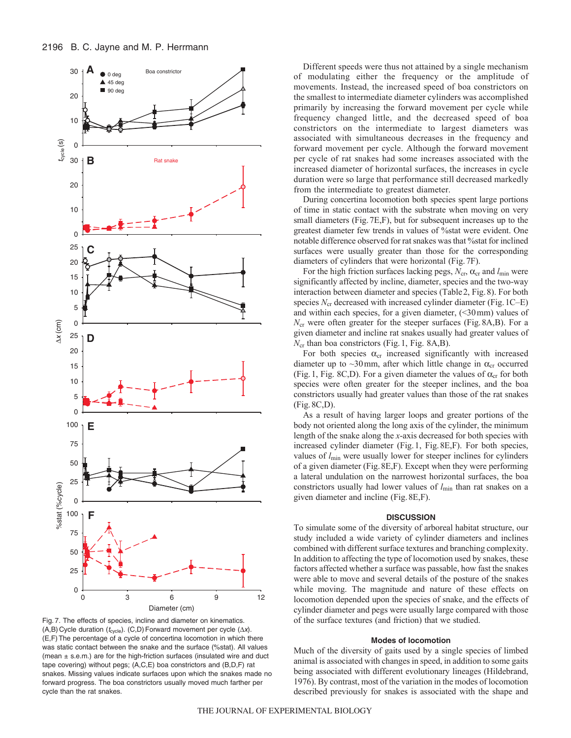

Fig. 7. The effects of species, incline and diameter on kinematics. (A,B) Cycle duration ( $t_{\text{cyclic}}$ ). (C,D) Forward movement per cycle ( $\Delta x$ ). (E,F)The percentage of a cycle of concertina locomotion in which there was static contact between the snake and the surface (%stat). All values (mean  $\pm$  s.e.m.) are for the high-friction surfaces (insulated wire and duct tape covering) without pegs; (A,C,E) boa constrictors and (B,D,F) rat snakes. Missing values indicate surfaces upon which the snakes made no forward progress. The boa constrictors usually moved much farther per cycle than the rat snakes.

Different speeds were thus not attained by a single mechanism of modulating either the frequency or the amplitude of movements. Instead, the increased speed of boa constrictors on the smallest to intermediate diameter cylinders was accomplished primarily by increasing the forward movement per cycle while frequency changed little, and the decreased speed of boa constrictors on the intermediate to largest diameters was associated with simultaneous decreases in the frequency and forward movement per cycle. Although the forward movement per cycle of rat snakes had some increases associated with the increased diameter of horizontal surfaces, the increases in cycle duration were so large that performance still decreased markedly from the intermediate to greatest diameter.

During concertina locomotion both species spent large portions of time in static contact with the substrate when moving on very small diameters (Fig.7E,F), but for subsequent increases up to the greatest diameter few trends in values of %stat were evident. One notable difference observed for rat snakes was that %stat for inclined surfaces were usually greater than those for the corresponding diameters of cylinders that were horizontal (Fig.7F).

For the high friction surfaces lacking pegs,  $N_{cr}$ ,  $\alpha_{cr}$  and  $l_{min}$  were significantly affected by incline, diameter, species and the two-way interaction between diameter and species (Table2, Fig.8). For both species  $N_{cr}$  decreased with increased cylinder diameter (Fig. 1C–E) and within each species, for a given diameter, (<30mm) values of *N*cr were often greater for the steeper surfaces (Fig.8A,B). For a given diameter and incline rat snakes usually had greater values of *N*cr than boa constrictors (Fig.1, Fig. 8A,B).

For both species  $\alpha_{cr}$  increased significantly with increased diameter up to ~30 mm, after which little change in  $\alpha_{cr}$  occurred (Fig. 1, Fig. 8C,D). For a given diameter the values of  $\alpha_{cr}$  for both species were often greater for the steeper inclines, and the boa constrictors usually had greater values than those of the rat snakes (Fig.8C,D).

As a result of having larger loops and greater portions of the body not oriented along the long axis of the cylinder, the minimum length of the snake along the *x*-axis decreased for both species with increased cylinder diameter (Fig.1, Fig.8E,F). For both species, values of *l*min were usually lower for steeper inclines for cylinders of a given diameter (Fig.8E,F). Except when they were performing a lateral undulation on the narrowest horizontal surfaces, the boa constrictors usually had lower values of  $l_{\text{min}}$  than rat snakes on a given diameter and incline (Fig.8E,F).

# **DISCUSSION**

To simulate some of the diversity of arboreal habitat structure, our study included a wide variety of cylinder diameters and inclines combined with different surface textures and branching complexity. In addition to affecting the type of locomotion used by snakes, these factors affected whether a surface was passable, how fast the snakes were able to move and several details of the posture of the snakes while moving. The magnitude and nature of these effects on locomotion depended upon the species of snake, and the effects of cylinder diameter and pegs were usually large compared with those of the surface textures (and friction) that we studied.

#### **Modes of locomotion**

Much of the diversity of gaits used by a single species of limbed animal is associated with changes in speed, in addition to some gaits being associated with different evolutionary lineages (Hildebrand, 1976). By contrast, most of the variation in the modes of locomotion described previously for snakes is associated with the shape and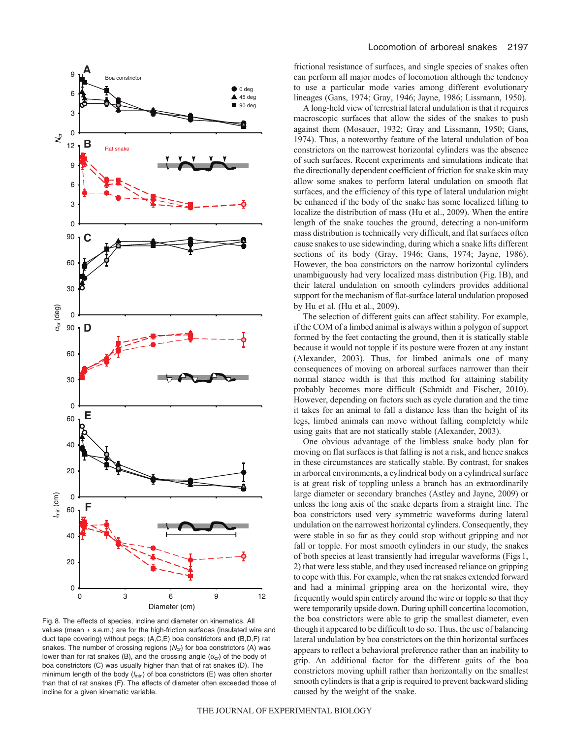

Fig. 8. The effects of species, incline and diameter on kinematics. All values (mean  $\pm$  s.e.m.) are for the high-friction surfaces (insulated wire and duct tape covering) without pegs; (A,C,E) boa constrictors and (B,D,F) rat snakes. The number of crossing regions  $(N_{cr})$  for boa constrictors (A) was lower than for rat snakes (B), and the crossing angle  $(\alpha_{cr})$  of the body of boa constrictors (C) was usually higher than that of rat snakes (D). The minimum length of the body ( $l_{min}$ ) of boa constrictors (E) was often shorter than that of rat snakes (F). The effects of diameter often exceeded those of incline for a given kinematic variable.

frictional resistance of surfaces, and single species of snakes often can perform all major modes of locomotion although the tendency to use a particular mode varies among different evolutionary lineages (Gans, 1974; Gray, 1946; Jayne, 1986; Lissmann, 1950).

A long-held view of terrestrial lateral undulation is that it requires macroscopic surfaces that allow the sides of the snakes to push against them (Mosauer, 1932; Gray and Lissmann, 1950; Gans, 1974). Thus, a noteworthy feature of the lateral undulation of boa constrictors on the narrowest horizontal cylinders was the absence of such surfaces. Recent experiments and simulations indicate that the directionally dependent coefficient of friction for snake skin may allow some snakes to perform lateral undulation on smooth flat surfaces, and the efficiency of this type of lateral undulation might be enhanced if the body of the snake has some localized lifting to localize the distribution of mass (Hu et al., 2009). When the entire length of the snake touches the ground, detecting a non-uniform mass distribution is technically very difficult, and flat surfaces often cause snakes to use sidewinding, during which a snake lifts different sections of its body (Gray, 1946; Gans, 1974; Jayne, 1986). However, the boa constrictors on the narrow horizontal cylinders unambiguously had very localized mass distribution (Fig.1B), and their lateral undulation on smooth cylinders provides additional support for the mechanism of flat-surface lateral undulation proposed by Hu et al. (Hu et al., 2009).

The selection of different gaits can affect stability. For example, if the COM of a limbed animal is always within a polygon of support formed by the feet contacting the ground, then it is statically stable because it would not topple if its posture were frozen at any instant (Alexander, 2003). Thus, for limbed animals one of many consequences of moving on arboreal surfaces narrower than their normal stance width is that this method for attaining stability probably becomes more difficult (Schmidt and Fischer, 2010). However, depending on factors such as cycle duration and the time it takes for an animal to fall a distance less than the height of its legs, limbed animals can move without falling completely while using gaits that are not statically stable (Alexander, 2003).

One obvious advantage of the limbless snake body plan for moving on flat surfaces is that falling is not a risk, and hence snakes in these circumstances are statically stable. By contrast, for snakes in arboreal environments, a cylindrical body on a cylindrical surface is at great risk of toppling unless a branch has an extraordinarily large diameter or secondary branches (Astley and Jayne, 2009) or unless the long axis of the snake departs from a straight line. The boa constrictors used very symmetric waveforms during lateral undulation on the narrowest horizontal cylinders. Consequently, they were stable in so far as they could stop without gripping and not fall or topple. For most smooth cylinders in our study, the snakes of both species at least transiently had irregular waveforms (Figs1, 2) that were less stable, and they used increased reliance on gripping to cope with this. For example, when the rat snakes extended forward and had a minimal gripping area on the horizontal wire, they frequently would spin entirely around the wire or topple so that they were temporarily upside down. During uphill concertina locomotion, the boa constrictors were able to grip the smallest diameter, even though it appeared to be difficult to do so. Thus, the use of balancing lateral undulation by boa constrictors on the thin horizontal surfaces appears to reflect a behavioral preference rather than an inability to grip. An additional factor for the different gaits of the boa constrictors moving uphill rather than horizontally on the smallest smooth cylinders is that a grip is required to prevent backward sliding caused by the weight of the snake.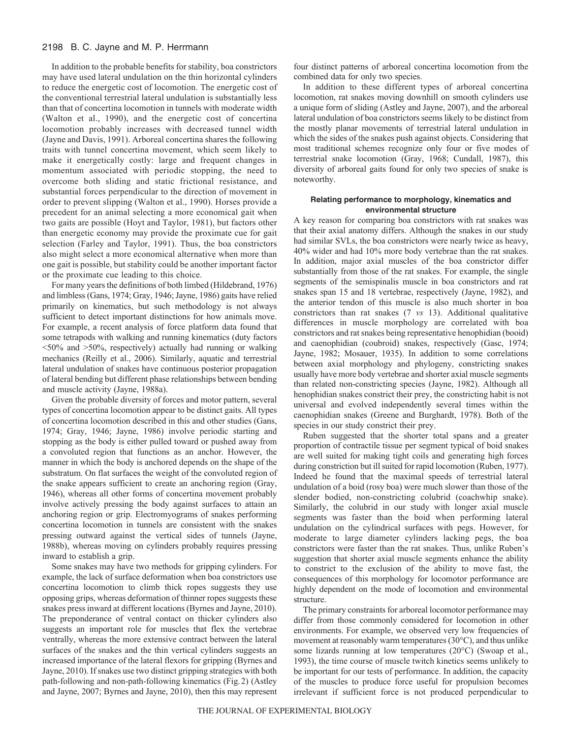### 2198 B. C. Jayne and M. P. Herrmann

In addition to the probable benefits for stability, boa constrictors may have used lateral undulation on the thin horizontal cylinders to reduce the energetic cost of locomotion. The energetic cost of the conventional terrestrial lateral undulation is substantially less than that of concertina locomotion in tunnels with moderate width (Walton et al., 1990), and the energetic cost of concertina locomotion probably increases with decreased tunnel width (Jayne and Davis, 1991). Arboreal concertina shares the following traits with tunnel concertina movement, which seem likely to make it energetically costly: large and frequent changes in momentum associated with periodic stopping, the need to overcome both sliding and static frictional resistance, and substantial forces perpendicular to the direction of movement in order to prevent slipping (Walton et al., 1990). Horses provide a precedent for an animal selecting a more economical gait when two gaits are possible (Hoyt and Taylor, 1981), but factors other than energetic economy may provide the proximate cue for gait selection (Farley and Taylor, 1991). Thus, the boa constrictors also might select a more economical alternative when more than one gait is possible, but stability could be another important factor or the proximate cue leading to this choice.

For many years the definitions of both limbed (Hildebrand, 1976) and limbless (Gans, 1974; Gray, 1946; Jayne, 1986) gaits have relied primarily on kinematics, but such methodology is not always sufficient to detect important distinctions for how animals move. For example, a recent analysis of force platform data found that some tetrapods with walking and running kinematics (duty factors <50% and >50%, respectively) actually had running or walking mechanics (Reilly et al., 2006). Similarly, aquatic and terrestrial lateral undulation of snakes have continuous posterior propagation of lateral bending but different phase relationships between bending and muscle activity (Jayne, 1988a).

Given the probable diversity of forces and motor pattern, several types of concertina locomotion appear to be distinct gaits. All types of concertina locomotion described in this and other studies (Gans, 1974; Gray, 1946; Jayne, 1986) involve periodic starting and stopping as the body is either pulled toward or pushed away from a convoluted region that functions as an anchor. However, the manner in which the body is anchored depends on the shape of the substratum. On flat surfaces the weight of the convoluted region of the snake appears sufficient to create an anchoring region (Gray, 1946), whereas all other forms of concertina movement probably involve actively pressing the body against surfaces to attain an anchoring region or grip. Electromyograms of snakes performing concertina locomotion in tunnels are consistent with the snakes pressing outward against the vertical sides of tunnels (Jayne, 1988b), whereas moving on cylinders probably requires pressing inward to establish a grip.

Some snakes may have two methods for gripping cylinders. For example, the lack of surface deformation when boa constrictors use concertina locomotion to climb thick ropes suggests they use opposing grips, whereas deformation of thinner ropes suggests these snakes press inward at different locations (Byrnes and Jayne, 2010). The preponderance of ventral contact on thicker cylinders also suggests an important role for muscles that flex the vertebrae ventrally, whereas the more extensive contract between the lateral surfaces of the snakes and the thin vertical cylinders suggests an increased importance of the lateral flexors for gripping (Byrnes and Jayne, 2010). If snakes use two distinct gripping strategies with both path-following and non-path-following kinematics (Fig.2) (Astley and Jayne, 2007; Byrnes and Jayne, 2010), then this may represent four distinct patterns of arboreal concertina locomotion from the combined data for only two species.

In addition to these different types of arboreal concertina locomotion, rat snakes moving downhill on smooth cylinders use a unique form of sliding (Astley and Jayne, 2007), and the arboreal lateral undulation of boa constrictors seems likely to be distinct from the mostly planar movements of terrestrial lateral undulation in which the sides of the snakes push against objects. Considering that most traditional schemes recognize only four or five modes of terrestrial snake locomotion (Gray, 1968; Cundall, 1987), this diversity of arboreal gaits found for only two species of snake is noteworthy.

## **Relating performance to morphology, kinematics and environmental structure**

A key reason for comparing boa constrictors with rat snakes was that their axial anatomy differs. Although the snakes in our study had similar SVLs, the boa constrictors were nearly twice as heavy, 40% wider and had 10% more body vertebrae than the rat snakes. In addition, major axial muscles of the boa constrictor differ substantially from those of the rat snakes. For example, the single segments of the semispinalis muscle in boa constrictors and rat snakes span 15 and 18 vertebrae, respectively (Jayne, 1982), and the anterior tendon of this muscle is also much shorter in boa constrictors than rat snakes (7 *vs* 13). Additional qualitative differences in muscle morphology are correlated with boa constrictors and rat snakes being representative henophidian (booid) and caenophidian (coubroid) snakes, respectively (Gasc, 1974; Jayne, 1982; Mosauer, 1935). In addition to some correlations between axial morphology and phylogeny, constricting snakes usually have more body vertebrae and shorter axial muscle segments than related non-constricting species (Jayne, 1982). Although all henophidian snakes constrict their prey, the constricting habit is not universal and evolved independently several times within the caenophidian snakes (Greene and Burghardt, 1978). Both of the species in our study constrict their prey.

Ruben suggested that the shorter total spans and a greater proportion of contractile tissue per segment typical of boid snakes are well suited for making tight coils and generating high forces during constriction but ill suited for rapid locomotion (Ruben, 1977). Indeed he found that the maximal speeds of terrestrial lateral undulation of a boid (rosy boa) were much slower than those of the slender bodied, non-constricting colubrid (coachwhip snake). Similarly, the colubrid in our study with longer axial muscle segments was faster than the boid when performing lateral undulation on the cylindrical surfaces with pegs. However, for moderate to large diameter cylinders lacking pegs, the boa constrictors were faster than the rat snakes. Thus, unlike Ruben's suggestion that shorter axial muscle segments enhance the ability to constrict to the exclusion of the ability to move fast, the consequences of this morphology for locomotor performance are highly dependent on the mode of locomotion and environmental structure.

The primary constraints for arboreal locomotor performance may differ from those commonly considered for locomotion in other environments. For example, we observed very low frequencies of movement at reasonably warm temperatures (30°C), and thus unlike some lizards running at low temperatures (20°C) (Swoap et al., 1993), the time course of muscle twitch kinetics seems unlikely to be important for our tests of performance. In addition, the capacity of the muscles to produce force useful for propulsion becomes irrelevant if sufficient force is not produced perpendicular to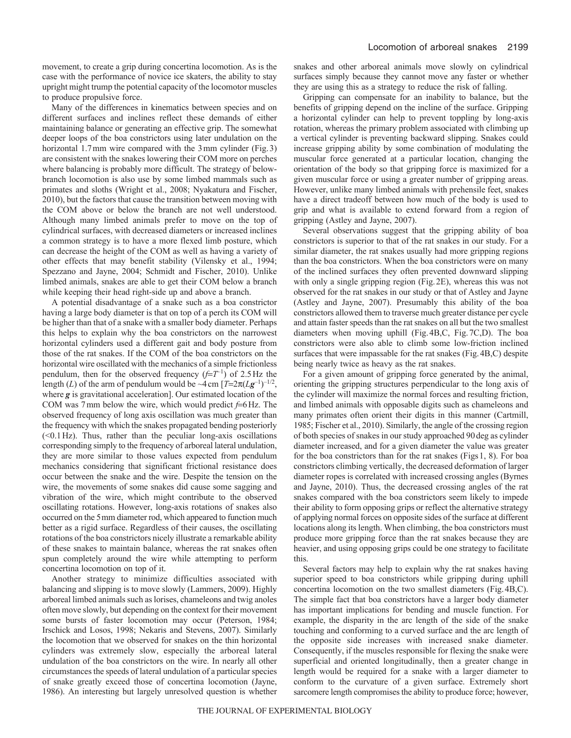movement, to create a grip during concertina locomotion. As is the case with the performance of novice ice skaters, the ability to stay upright might trump the potential capacity of the locomotor muscles to produce propulsive force.

Many of the differences in kinematics between species and on different surfaces and inclines reflect these demands of either maintaining balance or generating an effective grip. The somewhat deeper loops of the boa constrictors using later undulation on the horizontal 1.7mm wire compared with the 3mm cylinder (Fig. 3) are consistent with the snakes lowering their COM more on perches where balancing is probably more difficult. The strategy of belowbranch locomotion is also use by some limbed mammals such as primates and sloths (Wright et al., 2008; Nyakatura and Fischer, 2010), but the factors that cause the transition between moving with the COM above or below the branch are not well understood. Although many limbed animals prefer to move on the top of cylindrical surfaces, with decreased diameters or increased inclines a common strategy is to have a more flexed limb posture, which can decrease the height of the COM as well as having a variety of other effects that may benefit stability (Vilensky et al., 1994; Spezzano and Jayne, 2004; Schmidt and Fischer, 2010). Unlike limbed animals, snakes are able to get their COM below a branch while keeping their head right-side up and above a branch.

A potential disadvantage of a snake such as a boa constrictor having a large body diameter is that on top of a perch its COM will be higher than that of a snake with a smaller body diameter. Perhaps this helps to explain why the boa constrictors on the narrowest horizontal cylinders used a different gait and body posture from those of the rat snakes. If the COM of the boa constrictors on the horizontal wire oscillated with the mechanics of a simple frictionless pendulum, then for the observed frequency  $(f=T^{-1})$  of 2.5Hz the length (*L*) of the arm of pendulum would be  $\sim$ 4 cm  $[T=2\pi(Lg^{-1})^{-1/2}$ , where *g* is gravitational acceleration]. Our estimated location of the COM was 7mm below the wire, which would predict  $f=6$ Hz. The observed frequency of long axis oscillation was much greater than the frequency with which the snakes propagated bending posteriorly (<0.1Hz). Thus, rather than the peculiar long-axis oscillations corresponding simply to the frequency of arboreal lateral undulation, they are more similar to those values expected from pendulum mechanics considering that significant frictional resistance does occur between the snake and the wire. Despite the tension on the wire, the movements of some snakes did cause some sagging and vibration of the wire, which might contribute to the observed oscillating rotations. However, long-axis rotations of snakes also occurred on the 5mm diameter rod, which appeared to function much better as a rigid surface. Regardless of their causes, the oscillating rotations of the boa constrictors nicely illustrate a remarkable ability of these snakes to maintain balance, whereas the rat snakes often spun completely around the wire while attempting to perform concertina locomotion on top of it.

Another strategy to minimize difficulties associated with balancing and slipping is to move slowly (Lammers, 2009). Highly arboreal limbed animals such as lorises, chameleons and twig anoles often move slowly, but depending on the context for their movement some bursts of faster locomotion may occur (Peterson, 1984; Irschick and Losos, 1998; Nekaris and Stevens, 2007). Similarly the locomotion that we observed for snakes on the thin horizontal cylinders was extremely slow, especially the arboreal lateral undulation of the boa constrictors on the wire. In nearly all other circumstances the speeds of lateral undulation of a particular species of snake greatly exceed those of concertina locomotion (Jayne, 1986). An interesting but largely unresolved question is whether snakes and other arboreal animals move slowly on cylindrical surfaces simply because they cannot move any faster or whether they are using this as a strategy to reduce the risk of falling.

Gripping can compensate for an inability to balance, but the benefits of gripping depend on the incline of the surface. Gripping a horizontal cylinder can help to prevent toppling by long-axis rotation, whereas the primary problem associated with climbing up a vertical cylinder is preventing backward slipping. Snakes could increase gripping ability by some combination of modulating the muscular force generated at a particular location, changing the orientation of the body so that gripping force is maximized for a given muscular force or using a greater number of gripping areas. However, unlike many limbed animals with prehensile feet, snakes have a direct tradeoff between how much of the body is used to grip and what is available to extend forward from a region of gripping (Astley and Jayne, 2007).

Several observations suggest that the gripping ability of boa constrictors is superior to that of the rat snakes in our study. For a similar diameter, the rat snakes usually had more gripping regions than the boa constrictors. When the boa constrictors were on many of the inclined surfaces they often prevented downward slipping with only a single gripping region (Fig.2E), whereas this was not observed for the rat snakes in our study or that of Astley and Jayne (Astley and Jayne, 2007). Presumably this ability of the boa constrictors allowed them to traverse much greater distance per cycle and attain faster speeds than the rat snakes on all but the two smallest diameters when moving uphill (Fig.4B,C, Fig.7C,D). The boa constrictors were also able to climb some low-friction inclined surfaces that were impassable for the rat snakes (Fig.4B,C) despite being nearly twice as heavy as the rat snakes.

For a given amount of gripping force generated by the animal, orienting the gripping structures perpendicular to the long axis of the cylinder will maximize the normal forces and resulting friction, and limbed animals with opposable digits such as chameleons and many primates often orient their digits in this manner (Cartmill, 1985; Fischer et al., 2010). Similarly, the angle of the crossing region of both species of snakes in our study approached 90deg as cylinder diameter increased, and for a given diameter the value was greater for the boa constrictors than for the rat snakes (Figs1, 8). For boa constrictors climbing vertically, the decreased deformation of larger diameter ropes is correlated with increased crossing angles (Byrnes and Jayne, 2010). Thus, the decreased crossing angles of the rat snakes compared with the boa constrictors seem likely to impede their ability to form opposing grips or reflect the alternative strategy of applying normal forces on opposite sides of the surface at different locations along its length. When climbing, the boa constrictors must produce more gripping force than the rat snakes because they are heavier, and using opposing grips could be one strategy to facilitate this.

Several factors may help to explain why the rat snakes having superior speed to boa constrictors while gripping during uphill concertina locomotion on the two smallest diameters (Fig.4B,C). The simple fact that boa constrictors have a larger body diameter has important implications for bending and muscle function. For example, the disparity in the arc length of the side of the snake touching and conforming to a curved surface and the arc length of the opposite side increases with increased snake diameter. Consequently, if the muscles responsible for flexing the snake were superficial and oriented longitudinally, then a greater change in length would be required for a snake with a larger diameter to conform to the curvature of a given surface. Extremely short sarcomere length compromises the ability to produce force; however,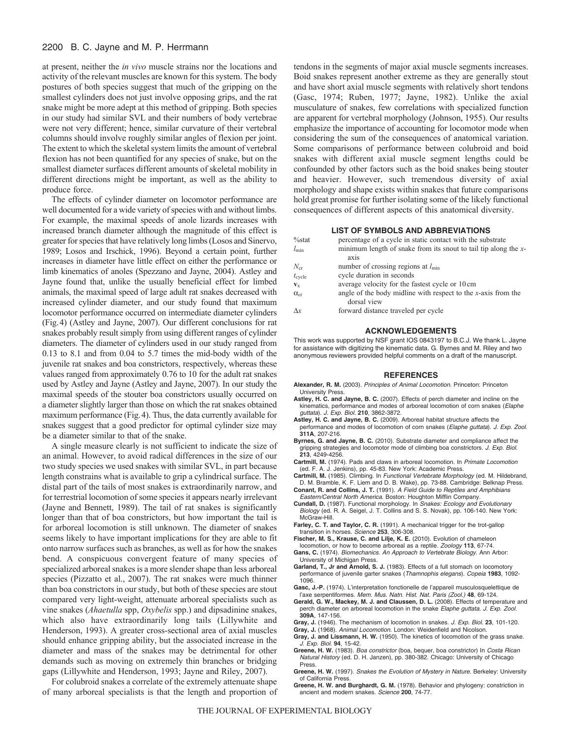#### 2200 B. C. Jayne and M. P. Herrmann

at present, neither the *in vivo* muscle strains nor the locations and activity of the relevant muscles are known for this system. The body postures of both species suggest that much of the gripping on the smallest cylinders does not just involve opposing grips, and the rat snake might be more adept at this method of gripping. Both species in our study had similar SVL and their numbers of body vertebrae were not very different; hence, similar curvature of their vertebral columns should involve roughly similar angles of flexion per joint. The extent to which the skeletal system limits the amount of vertebral flexion has not been quantified for any species of snake, but on the smallest diameter surfaces different amounts of skeletal mobility in different directions might be important, as well as the ability to produce force.

The effects of cylinder diameter on locomotor performance are well documented for a wide variety of species with and without limbs. For example, the maximal speeds of anole lizards increases with increased branch diameter although the magnitude of this effect is greater for species that have relatively long limbs (Losos and Sinervo, 1989; Losos and Irschick, 1996). Beyond a certain point, further increases in diameter have little effect on either the performance or limb kinematics of anoles (Spezzano and Jayne, 2004). Astley and Jayne found that, unlike the usually beneficial effect for limbed animals, the maximal speed of large adult rat snakes decreased with increased cylinder diameter, and our study found that maximum locomotor performance occurred on intermediate diameter cylinders (Fig.4) (Astley and Jayne, 2007). Our different conclusions for rat snakes probably result simply from using different ranges of cylinder diameters. The diameter of cylinders used in our study ranged from 0.13 to 8.1 and from 0.04 to 5.7 times the mid-body width of the juvenile rat snakes and boa constrictors, respectively, whereas these values ranged from approximately 0.76 to 10 for the adult rat snakes used by Astley and Jayne (Astley and Jayne, 2007). In our study the maximal speeds of the stouter boa constrictors usually occurred on a diameter slightly larger than those on which the rat snakes obtained maximum performance (Fig.4). Thus, the data currently available for snakes suggest that a good predictor for optimal cylinder size may be a diameter similar to that of the snake.

A single measure clearly is not sufficient to indicate the size of an animal. However, to avoid radical differences in the size of our two study species we used snakes with similar SVL, in part because length constrains what is available to grip a cylindrical surface. The distal part of the tails of most snakes is extraordinarily narrow, and for terrestrial locomotion of some species it appears nearly irrelevant (Jayne and Bennett, 1989). The tail of rat snakes is significantly longer than that of boa constrictors, but how important the tail is for arboreal locomotion is still unknown. The diameter of snakes seems likely to have important implications for they are able to fit onto narrow surfaces such as branches, as well as for how the snakes bend. A conspicuous convergent feature of many species of specialized arboreal snakes is a more slender shape than less arboreal species (Pizzatto et al., 2007). The rat snakes were much thinner than boa constrictors in our study, but both of these species are stout compared very light-weight, attenuate arboreal specialists such as vine snakes (*Ahaetulla* spp, *Oxybelis* spp.) and dipsadinine snakes, which also have extraordinarily long tails (Lillywhite and Henderson, 1993). A greater cross-sectional area of axial muscles should enhance gripping ability, but the associated increase in the diameter and mass of the snakes may be detrimental for other demands such as moving on extremely thin branches or bridging gaps (Lillywhite and Henderson, 1993; Jayne and Riley, 2007).

For colubroid snakes a correlate of the extremely attenuate shape of many arboreal specialists is that the length and proportion of tendons in the segments of major axial muscle segments increases. Boid snakes represent another extreme as they are generally stout and have short axial muscle segments with relatively short tendons (Gasc, 1974; Ruben, 1977; Jayne, 1982). Unlike the axial musculature of snakes, few correlations with specialized function are apparent for vertebral morphology (Johnson, 1955). Our results emphasize the importance of accounting for locomotor mode when considering the sum of the consequences of anatomical variation. Some comparisons of performance between colubroid and boid snakes with different axial muscle segment lengths could be confounded by other factors such as the boid snakes being stouter and heavier. However, such tremendous diversity of axial morphology and shape exists within snakes that future comparisons hold great promise for further isolating some of the likely functional consequences of different aspects of this anatomical diversity.

#### **LIST OF SYMBOLS AND ABBREVIATIONS**

%stat percentage of a cycle in static contact with the substrate

*l*<sub>min</sub> minimum length of snake from its snout to tail tip along the *x*axis

| $N_{\rm cr}$       | number of crossing regions at $l_{\min}$                         |
|--------------------|------------------------------------------------------------------|
| $t_{\text{cycle}}$ | cycle duration in seconds                                        |
| $V_{X}$            | average velocity for the fastest cycle or 10 cm                  |
| $\alpha_{\rm cr}$  | angle of the body midline with respect to the $x$ -axis from the |
|                    | dorsal view                                                      |
| $\Lambda$ r        | forward distance traveled per cycle                              |

*x* for traveled per cycl

#### **ACKNOWLEDGEMENTS**

This work was supported by NSF grant IOS 0843197 to B.C.J. We thank L. Jayne for assistance with digitizing the kinematic data. G. Byrnes and M. Riley and two anonymous reviewers provided helpful comments on a draft of the manuscript.

#### **REFERENCES**

- **Alexander, R. M.** (2003). Principles of Animal Locomotion. Princeton: Princeton University Press.
- **Astley, H. C. and Jayne, B. C.** (2007). Effects of perch diameter and incline on the kinematics, performance and modes of arboreal locomotion of corn snakes (Elaphe guttata). J. Exp. Biol. **210**, 3862-3872.
- **Astley, H. C. and Jayne, B. C.** (2009). Arboreal habitat structure affects the performance and modes of locomotion of corn snakes (Elaphe guttata). J. Exp. Zool. **311A**, 207-216.
- **Byrnes, G. and Jayne, B. C.** (2010). Substrate diameter and compliance affect the gripping strategies and locomotor mode of climbing boa constrictors. J. Exp. Biol. **213**, 4249-4256.
- **Cartmill, M.** (1974). Pads and claws in arboreal locomotion. In Primate Locomotion (ed. F. A. J. Jenkins), pp. 45-83. New York: Academic Press.
- **Cartmill, M.** (1985). Climbing. In Functional Vertebrate Morphology (ed. M. Hildebrand, D. M. Bramble, K. F. Liem and D. B. Wake), pp. 73-88. Cambridge: Belknap Press. **Conant, R. and Collins, J. T.** (1991). A Field Guide to Reptiles and Amphibians
- Eastern/Central North America. Boston: Houghton Mifflin Company. **Cundall, D.** (1987). Functional morphology. In Snakes: Ecology and Evolutionary
- Biology (ed. R. A. Seigel, J. T. Collins and S. S. Novak), pp. 106-140. New York: McGraw-Hill. **Farley, C. T. and Taylor, C. R.** (1991). A mechanical trigger for the trot-gallop
- transition in horses. Science **253**, 306-308.
- **Fischer, M. S., Krause, C. and Lilje, K. E.** (2010). Evolution of chameleon locomotion, or how to become arboreal as a reptile. Zoology **113**, 67-74.
- **Gans, C.** (1974). Biomechanics. An Approach to Vertebrate Biology. Ann Arbor: University of Michigan Press.
- **Garland, T., Jr and Arnold, S. J.** (1983). Effects of a full stomach on locomotory performance of juvenile garter snakes (Thamnophis elegans). Copeia **1983**, 1092- 1096.
- **Gasc, J.-P.** (1974). L'interpretation fonctionelle de l'appareil musculosquelettique de l'axe serpentiformes. Mem. Mus. Natn. Hist. Nat. Paris (Zool.) **48**, 69-124.
- **Gerald, G. W., Mackey, M. J. and Claussen, D. L.** (2008). Effects of temperature and perch diameter on arboreal locomotion in the snake Elaphe guttata. J. Exp. Zool. **309A**, 147-156.
- **Gray, J.** (1946). The mechanism of locomotion in snakes. J. Exp. Biol. **23**, 101-120.
- **Gray, J.** (1968). Animal Locomotion. London: Weidenfield and Nicolson. **Gray, J. and Lissmann, H. W.** (1950). The kinetics of locomotion of the grass snake.
- J. Exp. Biol. **94**, 15-42. **Greene, H. W.** (1983). Boa constrictor (boa, bequer, boa constrictor) In Costa Rican Natural History (ed. D. H. Janzen), pp. 380-382. Chicago: University of Chicago
- Press. **Greene, H. W.** (1997). Snakes the Evolution of Mystery in Nature. Berkeley: University
- of California Press.
- **Greene, H. W. and Burghardt, G. M.** (1978). Behavior and phylogeny: constriction in ancient and modern snakes. Science **200**, 74-77.